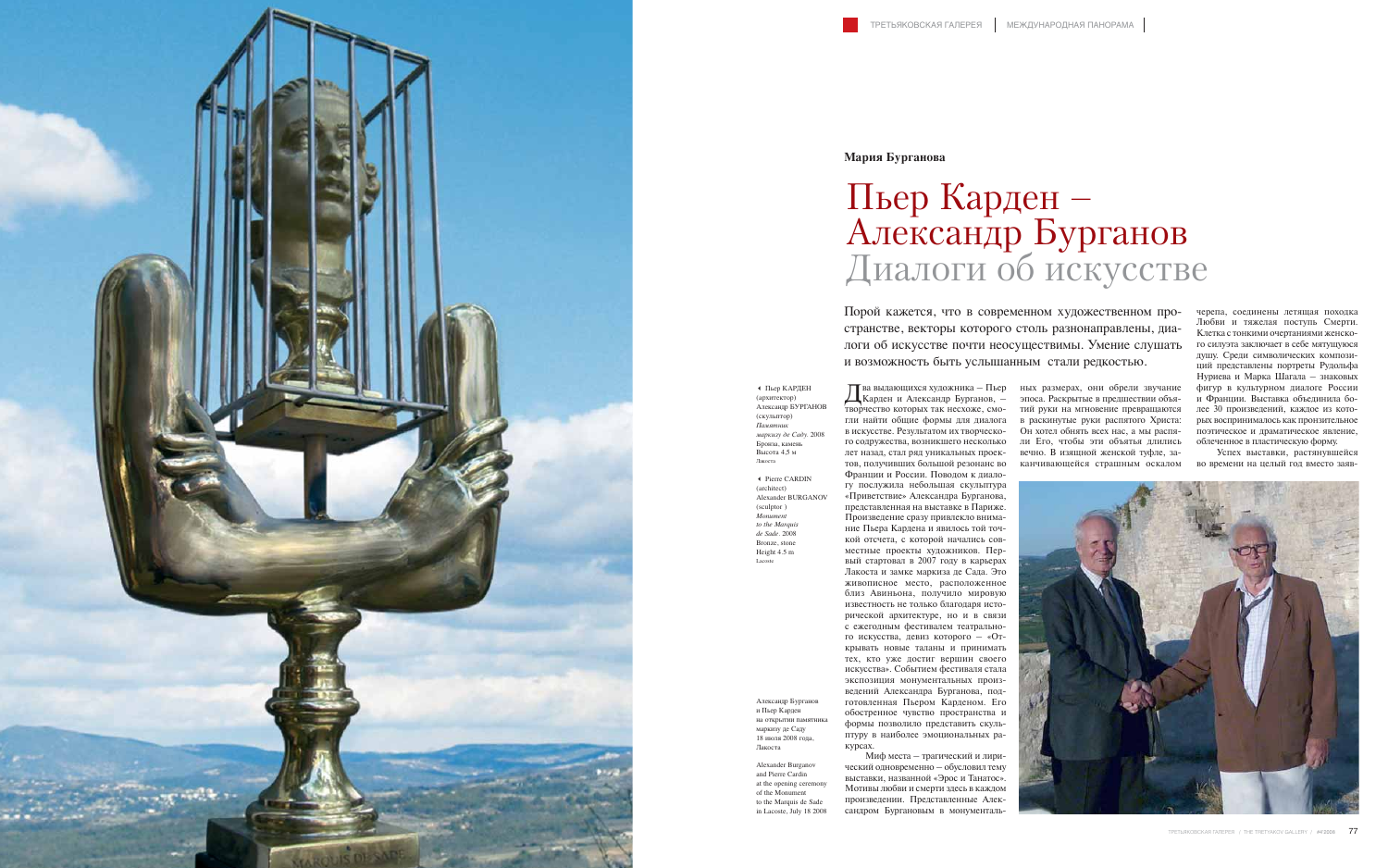Два выдающихся художника – Пьер Карден и Александр Бурганов, – гли найти общие формы для диалога в раскинутые руки распятого Христа: в искусстве. Результатом их творческо-Он хотел обнять всех нас, а мы распяго содружества, возникшего несколько ли Его, чтобы эти объятья длились лет назад, стал ряд уникальных проектов, получивших большой резонанс во Франции и России. Поводом к диалогу послужила небольшая скульптура «Приветствие» Александра Бурганова, представленная на выставке в Париже. Произведение сразу привлекло внимание Пьера Кардена и явилось той точкой отсчета, с которой начались совместные проекты художников. Первый стартовал в 2007 году в карьерах Лакоста и замке маркиза де Сада. Это живописное место, расположенное близ Авиньона, получило мировую известность не только благодаря исторической архитектуре, но и в связи с ежегодным фестивалем театрального искусства, девиз которого – «Открывать новые таланы и принимать тех, кто уже достиг вершин своего искусства». Событием фестиваля стала экспозиция монументальных произведений Александра Бурганова, подготовленная Пьером Карденом. Его обостренное чувство пространства и формы позволило представить скульптуру в наиболее эмоциональных ракурсах. Миф места – трагический и лири-

творчество которых так несхоже, смо-тий руки на мгновение превращаются  $\prod$ ва выдающихся художника - Пьер ных размерах, они обрели звучание эпоса. Раскрытые в предшествии объявечно. В изящной женской туфле, заканчивающейся страшным оскалом

ческий одновременно – обусловил тему выставки, названной «Эрос и Танатос». Мотивы любви и смерти здесь в каждом произведении. Представленные Александром Бургановым в монументальчерепа, соединены летящая походка Любви и тяжелая поступь Смерти. Клетка с тонкими очертаниями женского силуэта заключает в себе мятущуюся душу. Среди символических композиций представлены портреты Рудольфа Нуриева и Марка Шагала – знаковых фигур в культурном диалоге России и Франции. Выставка объединила более 30 произведений, каждое из которых воспринималось как пронзительное поэтическое и драматическое явление, облеченное в пластическую форму.

Успех выставки, растянувшейся во времени на целый год вместо заяв-



Порой кажется, что в современном художественном пространстве, векторы которого столь разнонаправлены, диалоги об искусстве почти неосуществимы. Умение слушать и возможность быть услышанным стали редкостью.



## **Мария Бурганова**

## Пьер Карден – Александр Бурганов Диалоги об искусстве

- Пьер КАРДЕН (архитектор) Александр БУРГАНОВ (скульптор) *Памятник маркизу де Саду.* 2008 Бронза, камен Высота 4,5 м Лакоста

- Pierre CARDIN (architect) Alexander BURGANOV (sculptor ) *Monument to the Marquis de Sade.* 2008 Bronze, stone Height 4.5 m Lacoste

Александр Бурганов и Пьер Карден на открытии памятни маркизу де Саду 18 июля 2008 года, Лакоста

Alexander Burganov and Pierre Cardin at the opening ceremony of the Monument to the Marquis de Sade in Lacoste, July 18 2008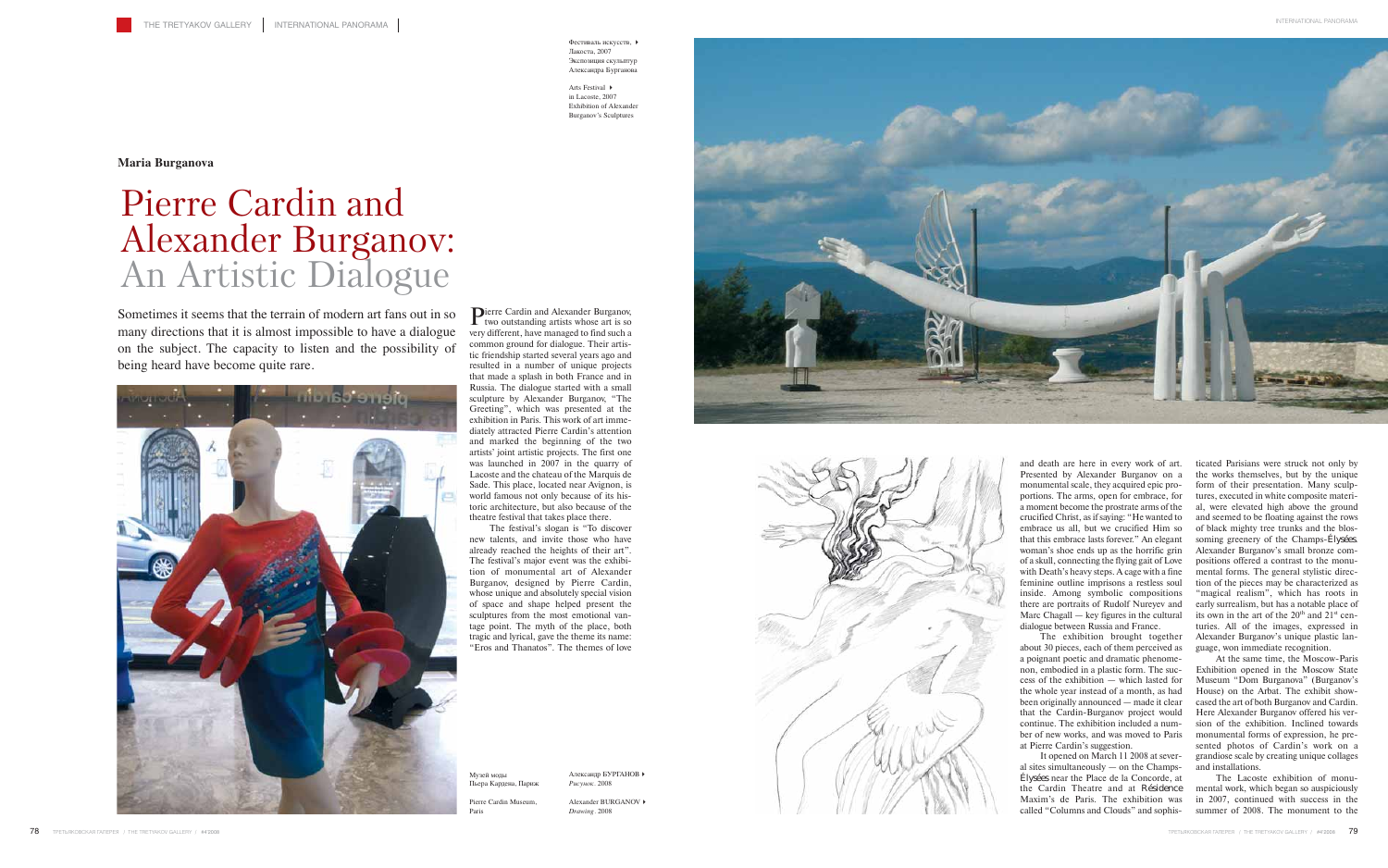**Dierre Cardin and Alexander Burganov,** two outstanding artists whose art is so very different, have managed to find such a common ground for dialogue. Their artistic friendship started several years ago and resulted in a number of unique projects that made a splash in both France and in Russia. The dialogue started with a small sculpture by Alexander Burganov, "The Greeting", which was presented at the exhibition in Paris. This work of art immediately attracted Pierre Cardin's attention and marked the beginning of the two artists' joint artistic projects. The first one was launched in 2007 in the quarry of Lacoste and the chateau of the Marquis de Sade. This place, located near Avignon, is world famous not only because of its historic architecture, but also because of the theatre festival that takes place there.

The festival's slogan is "To discover new talents, and invite those who have already reached the heights of their art". The festival's major event was the exhibition of monumental art of Alexander Burganov, designed by Pierre Cardin, whose unique and absolutely special vision of space and shape helped present the sculptures from the most emotional vantage point. The myth of the place, both tragic and lyrical, gave the theme its name: "Eros and Thanatos". The themes of love

ticated Parisians were struck not only by the works themselves, but by the unique form of their presentation. Many sculptures, executed in white composite material, were elevated high above the ground and seemed to be floating against the rows of black mighty tree trunks and the blossoming greenery of the Champs-Élysées. Alexander Burganov's small bronze compositions offered a contrast to the monumental forms. The general stylistic direction of the pieces may be characterized as "magical realism", which has roots in early surrealism, but has a notable place of its own in the art of the  $20<sup>th</sup>$  and  $21<sup>st</sup>$  centuries. All of the images, expressed in Alexander Burganov's unique plastic language, won immediate recognition.

At the same time, the Moscow-Paris Exhibition opened in the Moscow State Museum "Dom Burganova" (Burganov's House) on the Arbat. The exhibit showcased the art of both Burganov and Cardin. Here Alexander Burganov offered his version of the exhibition. Inclined towards monumental forms of expression, he presented photos of Cardin's work on a grandiose scale by creating unique collages and installations.

The Lacoste exhibition of monumental work, which began so auspiciously in 2007, continued with success in the summer of 2008. The monument to the

and death are here in every work of art. Presented by Alexander Burganov on a monumental scale, they acquired epic proportions. The arms, open for embrace, for a moment become the prostrate arms of the crucified Christ, as if saying: "He wanted to embrace us all, but we crucified Him so that this embrace lasts forever." An elegant woman's shoe ends up as the horrific grin of a skull, connecting the flying gait of Love with Death's heavy steps. A cage with a fine feminine outline imprisons a restless soul inside. Among symbolic compositions there are portraits of Rudolf Nureyev and Marc Chagall — key figures in the cultural dialogue between Russia and France.

The exhibition brought together about 30 pieces, each of them perceived as a poignant poetic and dramatic phenomenon, embodied in a plastic form. The success of the exhibition — which lasted for the whole year instead of a month, as had been originally announced — made it clear that the Cardin-Burganov project would continue. The exhibition included a number of new works, and was moved to Paris at Pierre Cardin's suggestion.

It opened on March 11 2008 at several sites simultaneously — on the Champs-Élysées near the Place de la Concorde, at the Cardin Theatre and at Résidence Maxim's de Paris. The exhibition was called "Columns and Clouds" and sophis-

Sometimes it seems that the terrain of modern art fans out in so many directions that it is almost impossible to have a dialogue on the subject. The capacity to listen and the possibility of being heard have become quite rare.



**Maria Burganova**

## Pierre Cardin and Alexander Burganov: An Artistic Dialogue

Музей моды Пьера Кардена, Париж

Paris

Фестиваль искусств, Лакоста, 2007 Экспозиция скульптур Александра Бурганова

Pierre Cardin Museum, Alexander BURGANOV *Drawing*. 2008





Arts Festival in Lacoste, 2007 Exhibition of Alexander Burganov's Sculptures

Александр БУРГАНОВ

*Рисунок*. 2008